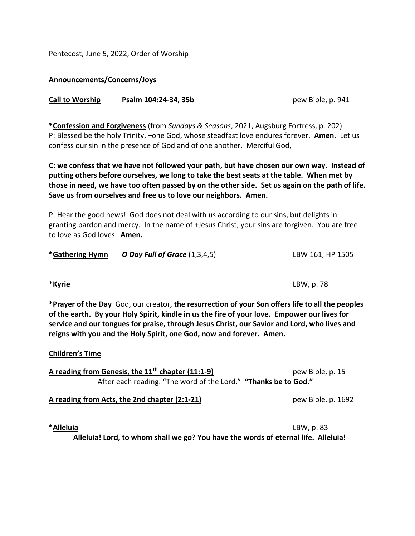Pentecost, June 5, 2022, Order of Worship

**Announcements/Concerns/Joys**

| <b>Call to Worship</b> | Psalm 104:24-34, 35b |  |
|------------------------|----------------------|--|
|------------------------|----------------------|--|

**\*Confession and Forgiveness** (from *Sundays & Seasons*, 2021, Augsburg Fortress, p. 202) P: Blessed be the holy Trinity, +one God, whose steadfast love endures forever. **Amen.** Let us confess our sin in the presence of God and of one another. Merciful God,

**C: we confess that we have not followed your path, but have chosen our own way. Instead of putting others before ourselves, we long to take the best seats at the table. When met by those in need, we have too often passed by on the other side. Set us again on the path of life. Save us from ourselves and free us to love our neighbors. Amen.**

P: Hear the good news! God does not deal with us according to our sins, but delights in granting pardon and mercy. In the name of +Jesus Christ, your sins are forgiven. You are free to love as God loves. **Amen.**

| *Gathering Hymn | O Day Full of Grace $(1,3,4,5)$ | LBW 161, HP 1505 |
|-----------------|---------------------------------|------------------|
|-----------------|---------------------------------|------------------|

**\*Prayer of the Day** God, our creator, **the resurrection of your Son offers life to all the peoples of the earth. By your Holy Spirit, kindle in us the fire of your love. Empower our lives for service and our tongues for praise, through Jesus Christ, our Savior and Lord, who lives and reigns with you and the Holy Spirit, one God, now and forever. Amen.**

## **Children's Time**

| A reading from Genesis, the $11th$ chapter (11:1-9)             | pew Bible, p. 15 |
|-----------------------------------------------------------------|------------------|
| After each reading: "The word of the Lord." "Thanks be to God." |                  |

**A reading from Acts, the 2nd chapter (2:1-21)** pew Bible, p. 1692

**\*Alleluia** LBW, p. 83

**Alleluia! Lord, to whom shall we go? You have the words of eternal life. Alleluia!**

**Call to Worship Psalm 104:24-34, 35b** pew Bible, p. 941

\***Kyrie** LBW, p. 78